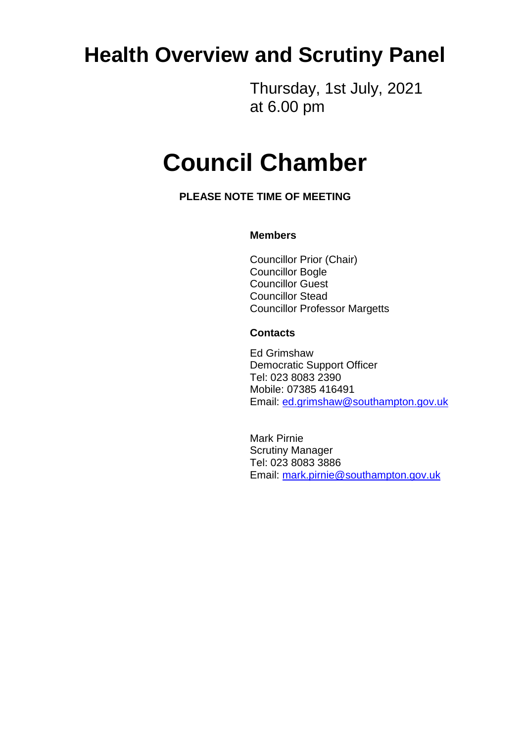# **Health Overview and Scrutiny Panel**

Thursday, 1st July, 2021 at 6.00 pm

# **Council Chamber**

**PLEASE NOTE TIME OF MEETING**

#### **Members**

Councillor Prior (Chair) Councillor Bogle Councillor Guest Councillor Stead Councillor Professor Margetts

#### **Contacts**

Ed Grimshaw Democratic Support Officer Tel: 023 8083 2390 Mobile: 07385 416491 Email: [ed.grimshaw@southampton.gov.uk](mailto:ed.grimshaw@southampton.gov.uk)

Mark Pirnie Scrutiny Manager Tel: 023 8083 3886 Email: [mark.pirnie@southampton.gov.uk](mailto:mark.pirnie@southampton.gov.uk)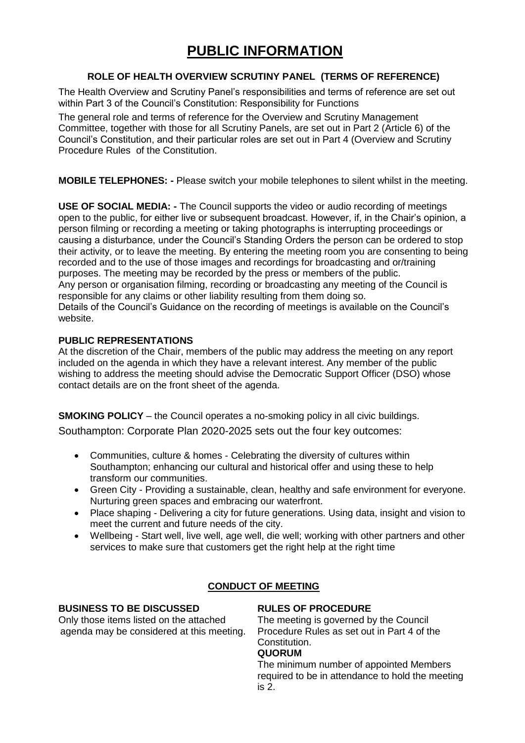# **PUBLIC INFORMATION**

#### **ROLE OF HEALTH OVERVIEW SCRUTINY PANEL (TERMS OF REFERENCE)**

The Health Overview and Scrutiny Panel's responsibilities and terms of reference are set out within Part 3 of the Council's Constitution: Responsibility for Functions

The general role and terms of reference for the Overview and Scrutiny Management Committee, together with those for all Scrutiny Panels, are set out in Part 2 (Article 6) of the Council's Constitution, and their particular roles are set out in Part 4 (Overview and Scrutiny Procedure Rules of the Constitution.

**MOBILE TELEPHONES: -** Please switch your mobile telephones to silent whilst in the meeting.

**USE OF SOCIAL MEDIA: -** The Council supports the video or audio recording of meetings open to the public, for either live or subsequent broadcast. However, if, in the Chair's opinion, a person filming or recording a meeting or taking photographs is interrupting proceedings or causing a disturbance, under the Council's Standing Orders the person can be ordered to stop their activity, or to leave the meeting. By entering the meeting room you are consenting to being recorded and to the use of those images and recordings for broadcasting and or/training purposes. The meeting may be recorded by the press or members of the public. Any person or organisation filming, recording or broadcasting any meeting of the Council is responsible for any claims or other liability resulting from them doing so. Details of the Council's Guidance on the recording of meetings is available on the Council's website.

#### **PUBLIC REPRESENTATIONS**

At the discretion of the Chair, members of the public may address the meeting on any report included on the agenda in which they have a relevant interest. Any member of the public wishing to address the meeting should advise the Democratic Support Officer (DSO) whose contact details are on the front sheet of the agenda.

**SMOKING POLICY** – the Council operates a no-smoking policy in all civic buildings.

Southampton: Corporate Plan 2020-2025 sets out the four key outcomes:

- Communities, culture & homes Celebrating the diversity of cultures within Southampton; enhancing our cultural and historical offer and using these to help transform our communities.
- Green City Providing a sustainable, clean, healthy and safe environment for everyone. Nurturing green spaces and embracing our waterfront.
- Place shaping Delivering a city for future generations. Using data, insight and vision to meet the current and future needs of the city.
- Wellbeing Start well, live well, age well, die well; working with other partners and other services to make sure that customers get the right help at the right time

#### **CONDUCT OF MEETING**

#### **BUSINESS TO BE DISCUSSED**

Only those items listed on the attached agenda may be considered at this meeting.

#### **RULES OF PROCEDURE**

The meeting is governed by the Council Procedure Rules as set out in Part 4 of the Constitution.

#### **QUORUM**

The minimum number of appointed Members required to be in attendance to hold the meeting is 2.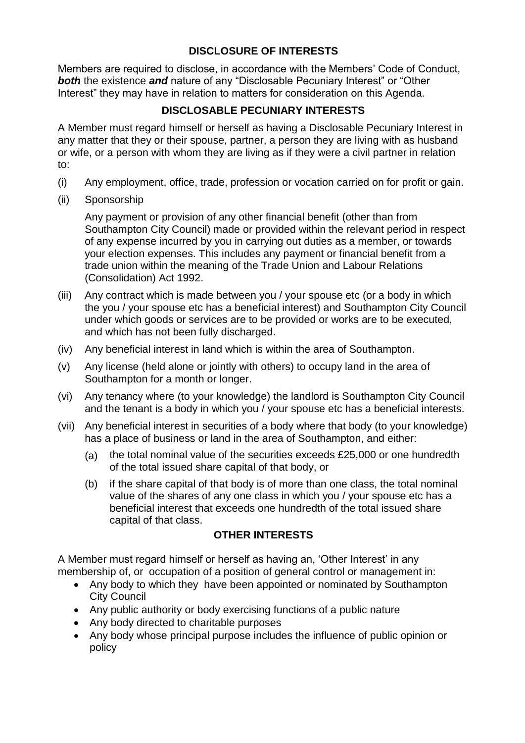# **DISCLOSURE OF INTERESTS**

Members are required to disclose, in accordance with the Members' Code of Conduct, *both* the existence *and* nature of any "Disclosable Pecuniary Interest" or "Other Interest" they may have in relation to matters for consideration on this Agenda.

# **DISCLOSABLE PECUNIARY INTERESTS**

A Member must regard himself or herself as having a Disclosable Pecuniary Interest in any matter that they or their spouse, partner, a person they are living with as husband or wife, or a person with whom they are living as if they were a civil partner in relation to:

- (i) Any employment, office, trade, profession or vocation carried on for profit or gain.
- (ii) Sponsorship

Any payment or provision of any other financial benefit (other than from Southampton City Council) made or provided within the relevant period in respect of any expense incurred by you in carrying out duties as a member, or towards your election expenses. This includes any payment or financial benefit from a trade union within the meaning of the Trade Union and Labour Relations (Consolidation) Act 1992.

- (iii) Any contract which is made between you / your spouse etc (or a body in which the you / your spouse etc has a beneficial interest) and Southampton City Council under which goods or services are to be provided or works are to be executed, and which has not been fully discharged.
- (iv) Any beneficial interest in land which is within the area of Southampton.
- (v) Any license (held alone or jointly with others) to occupy land in the area of Southampton for a month or longer.
- (vi) Any tenancy where (to your knowledge) the landlord is Southampton City Council and the tenant is a body in which you / your spouse etc has a beneficial interests.
- (vii) Any beneficial interest in securities of a body where that body (to your knowledge) has a place of business or land in the area of Southampton, and either:
	- (a) the total nominal value of the securities exceeds £25,000 or one hundredth of the total issued share capital of that body, or
	- (b) if the share capital of that body is of more than one class, the total nominal value of the shares of any one class in which you / your spouse etc has a beneficial interest that exceeds one hundredth of the total issued share capital of that class.

# **OTHER INTERESTS**

A Member must regard himself or herself as having an, 'Other Interest' in any membership of, or occupation of a position of general control or management in:

- Any body to which they have been appointed or nominated by Southampton City Council
- Any public authority or body exercising functions of a public nature
- Any body directed to charitable purposes
- Any body whose principal purpose includes the influence of public opinion or policy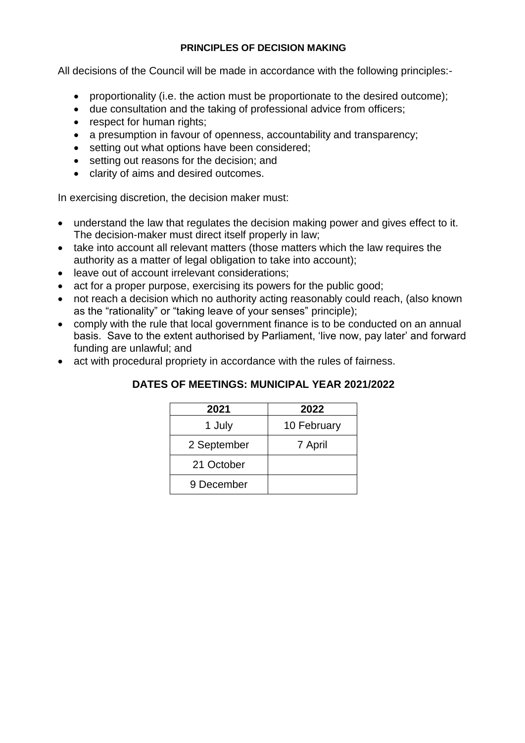#### **PRINCIPLES OF DECISION MAKING**

All decisions of the Council will be made in accordance with the following principles:-

- proportionality (i.e. the action must be proportionate to the desired outcome);
- due consultation and the taking of professional advice from officers;
- respect for human rights;
- a presumption in favour of openness, accountability and transparency;
- setting out what options have been considered;
- setting out reasons for the decision; and
- clarity of aims and desired outcomes.

In exercising discretion, the decision maker must:

- understand the law that regulates the decision making power and gives effect to it. The decision-maker must direct itself properly in law;
- take into account all relevant matters (those matters which the law requires the authority as a matter of legal obligation to take into account);
- leave out of account irrelevant considerations;
- act for a proper purpose, exercising its powers for the public good;
- not reach a decision which no authority acting reasonably could reach, (also known as the "rationality" or "taking leave of your senses" principle);
- comply with the rule that local government finance is to be conducted on an annual basis. Save to the extent authorised by Parliament, 'live now, pay later' and forward funding are unlawful; and
- act with procedural propriety in accordance with the rules of fairness.

| 2021        | 2022        |
|-------------|-------------|
| 1 July      | 10 February |
| 2 September | 7 April     |
| 21 October  |             |
| 9 December  |             |

## **DATES OF MEETINGS: MUNICIPAL YEAR 2021/2022**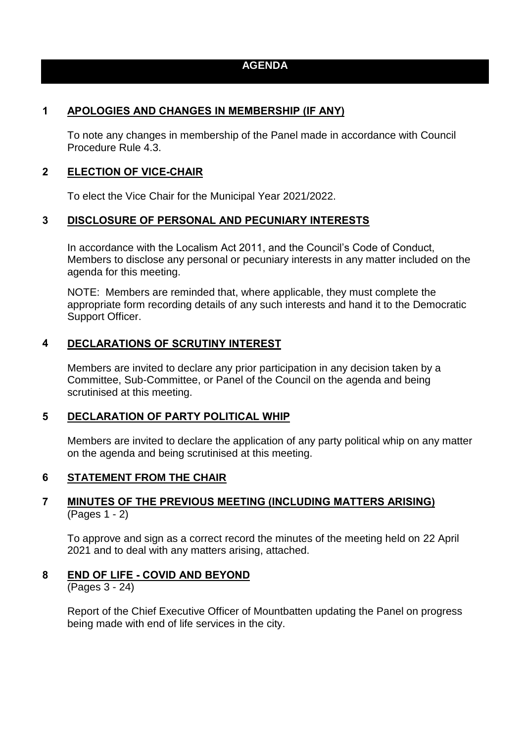## **AGENDA**

### **1 APOLOGIES AND CHANGES IN MEMBERSHIP (IF ANY)**

To note any changes in membership of the Panel made in accordance with Council Procedure Rule 4.3.

#### **2 ELECTION OF VICE-CHAIR**

To elect the Vice Chair for the Municipal Year 2021/2022.

#### **3 DISCLOSURE OF PERSONAL AND PECUNIARY INTERESTS**

In accordance with the Localism Act 2011, and the Council's Code of Conduct, Members to disclose any personal or pecuniary interests in any matter included on the agenda for this meeting.

NOTE: Members are reminded that, where applicable, they must complete the appropriate form recording details of any such interests and hand it to the Democratic Support Officer.

#### **4 DECLARATIONS OF SCRUTINY INTEREST**

Members are invited to declare any prior participation in any decision taken by a Committee, Sub-Committee, or Panel of the Council on the agenda and being scrutinised at this meeting.

#### **5 DECLARATION OF PARTY POLITICAL WHIP**

Members are invited to declare the application of any party political whip on any matter on the agenda and being scrutinised at this meeting.

#### **6 STATEMENT FROM THE CHAIR**

#### **7 MINUTES OF THE PREVIOUS MEETING (INCLUDING MATTERS ARISING)** (Pages 1 - 2)

To approve and sign as a correct record the minutes of the meeting held on 22 April 2021 and to deal with any matters arising, attached.

#### **8 END OF LIFE - COVID AND BEYOND**

(Pages 3 - 24)

Report of the Chief Executive Officer of Mountbatten updating the Panel on progress being made with end of life services in the city.